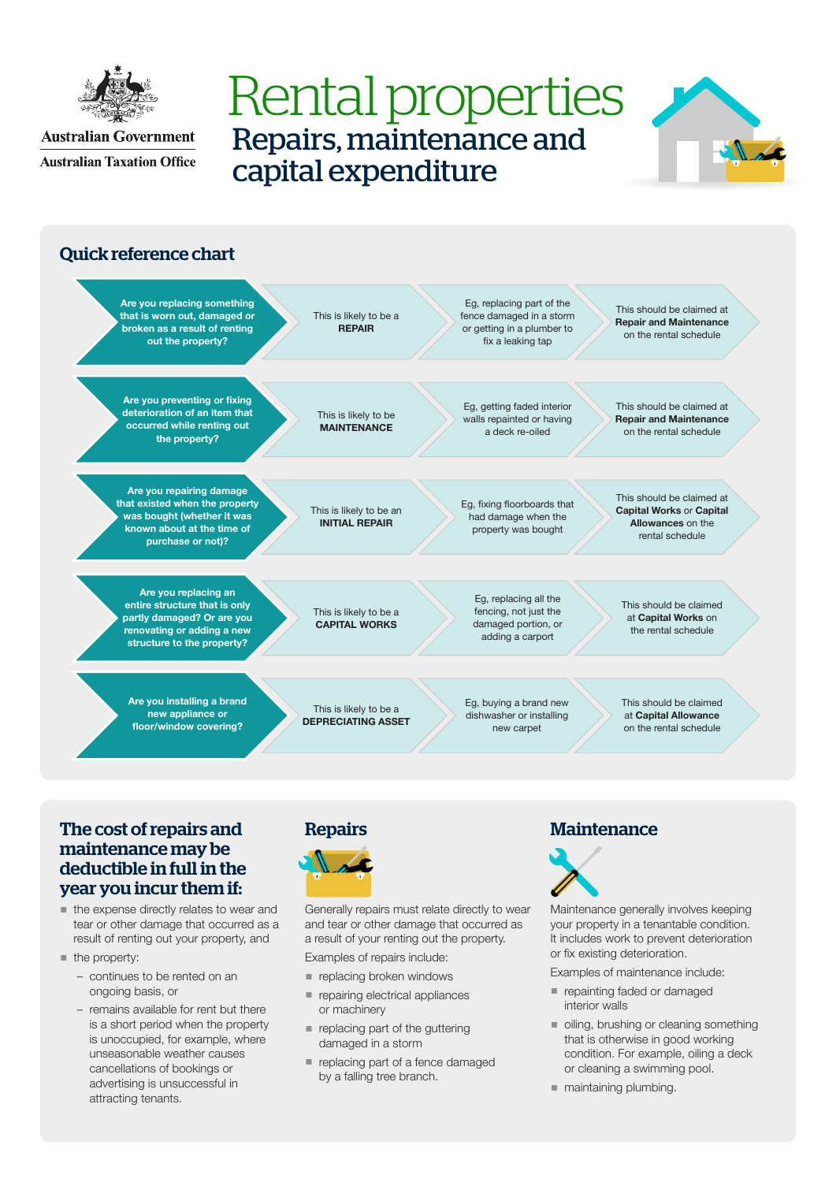

**Australian Government Australian Taxation Office** 

# Rental properties Repairs, maintenance and capital expenditure





### The cost of repairs and maintenance may be deductible in full in the year you incur them if:

- the expense directly relates to wear and tear or other damage that occurred as a result of renting out your property, and
- $\blacksquare$  the property:
	- continues to be rented on an ongoing basis, or
	- remains available for rent but there is a short period when the property is unoccupied, for example, where unseasonable weather causes cancellations of bookings or advertising is unsuccessful in attracting tenants.





Generally repairs must relate directly to wear and tear or other damage that occurred as a result of your renting out the property.

Examples of repairs include:

- replacing broken windows
- repairing electrical appliances or machinery
- replacing part of the guttering damaged in a storm
- replacing part of a fence damaged by a falling tree branch.

# **Maintenance**



Maintenance generally involves keeping your property in a tenantable condition. It includes work to prevent deterioration or fix existing deterioration.

Examples of maintenance include:

- repainting faded or damaged interior walls
- oiling, brushing or cleaning something that is otherwise in good working condition. For example, oiling a deck or cleaning a swimming pool.
- maintaining plumbing.